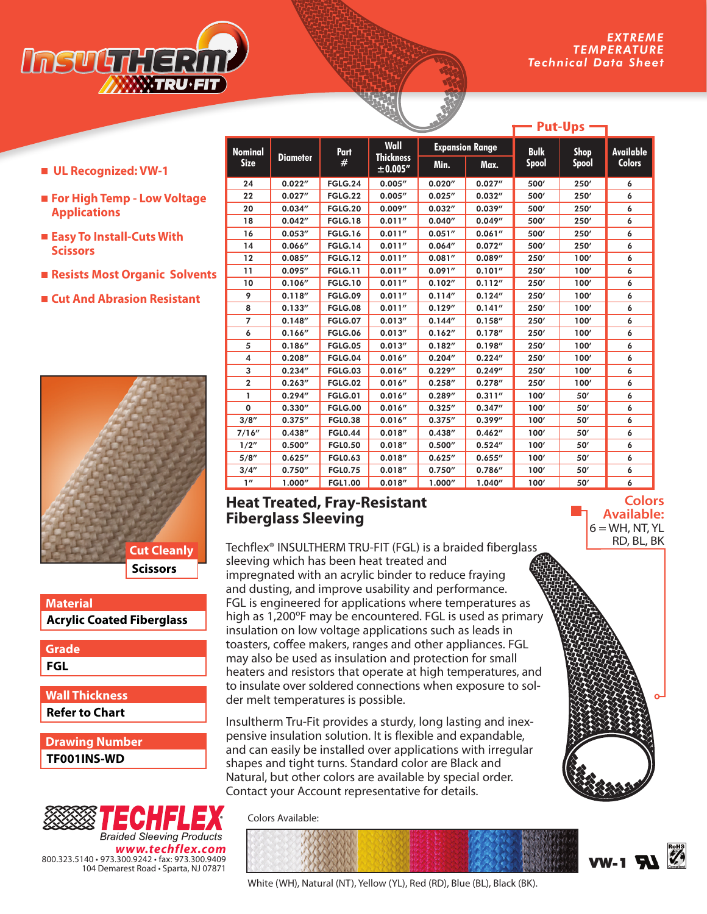

**Put-Ups**

| UL Recognized: VW-1 |  |  |  |  |  |  |  |  |  |
|---------------------|--|--|--|--|--|--|--|--|--|
|                     |  |  |  |  |  |  |  |  |  |

- For High Temp Low Voltage **Applications**
- **Easy To Install-Cuts With Scissors**
- **Resists Most Organic Solvents**
- **Cut And Abrasion Resistant**



**Acrylic Coated Fiberglass Material** 

**FGL Grade**

**Refer to Chart Wall Thickness**

**TF001INS-WD Drawing Number**

| <b>ECHFL.</b><br><b>Braided Sleeving Products</b> |
|---------------------------------------------------|
| www.techflex.com                                  |
| 800.323.5140 · 973.300.9242 · fax: 973.300.9409   |
| 104 Demarest Road · Sparta, NJ 07871              |

| <b>Nominal</b> |                 | Part           | Wall                          |         | <b>Expansion Range</b> | <b>Bulk</b>  | <b>Shop</b>  | <b>Available</b><br><b>Colors</b> |  |
|----------------|-----------------|----------------|-------------------------------|---------|------------------------|--------------|--------------|-----------------------------------|--|
| <b>Size</b>    | <b>Diameter</b> | #              | <b>Thickness</b><br>± 0.005'' | Min.    | Max.                   | <b>Spool</b> | <b>Spool</b> |                                   |  |
| 24             | 0.022''         | <b>FGLG.24</b> | 0.005''                       | 0.020'' | 0.027''                | 500'         | 250'         | 6                                 |  |
| 22             | 0.027''         | <b>FGLG.22</b> | 0.005''                       | 0.025'' | 0.032''                | 500'         | 250'         | 6                                 |  |
| 20             | 0.034''         | <b>FGLG.20</b> | 0.009''                       | 0.032'' | 0.039''                | 500'         | 250'         | 6                                 |  |
| 18             | 0.042''         | <b>FGLG.18</b> | 0.011''                       | 0.040'' | 0.049''                | 500'         | 250'         | 6                                 |  |
| 16             | 0.053''         | <b>FGLG.16</b> | 0.011''                       | 0.051'' | 0.061''                | 500'         | 250'         | 6                                 |  |
| 14             | 0.066''         | <b>FGLG.14</b> | 0.011''                       | 0.064'' | 0.072''                | 500'         | 250'         | 6                                 |  |
| 12             | 0.085''         | <b>FGLG.12</b> | 0.011''                       | 0.081'' | 0.089''                | 250'         | 100'         | 6                                 |  |
| 11             | 0.095''         | <b>FGLG.11</b> | 0.011''                       | 0.091'' | 0.101''                | 250'         | 100'         | 6                                 |  |
| 10             | 0.106''         | <b>FGLG.10</b> | 0.011''                       | 0.102'' | 0.112''                | 250'         | 100'         | 6                                 |  |
| 9              | 0.118''         | <b>FGLG.09</b> | 0.011''                       | 0.114'' | 0.124''                | 250'         | 100'         | 6                                 |  |
| 8              | 0.133''         | <b>FGLG.08</b> | 0.011''                       | 0.129'' | 0.141''                | 250'         | 100'         | 6                                 |  |
| 7              | 0.148''         | <b>FGLG.07</b> | 0.013''                       | 0.144'' | 0.158''                | 250'         | 100'         | 6                                 |  |
| 6              | 0.166''         | <b>FGLG.06</b> | 0.013''                       | 0.162'' | 0.178''                | 250'         | 100'         | 6                                 |  |
| 5              | 0.186''         | <b>FGLG.05</b> | 0.013''                       | 0.182'' | 0.198''                | 250'         | 100'         | 6                                 |  |
| 4              | 0.208''         | FGLG.04        | 0.016''                       | 0.204'' | 0.224''                | 250'         | 100'         | 6                                 |  |
| 3              | 0.234''         | <b>FGLG.03</b> | 0.016''                       | 0.229'' | 0.249''                | 250'         | 100'         | 6                                 |  |
| $\mathbf{2}$   | 0.263''         | <b>FGLG.02</b> | 0.016''                       | 0.258'' | 0.278''                | 250'         | 100'         | 6                                 |  |
| 1              | 0.294''         | <b>FGLG.01</b> | 0.016''                       | 0.289'' | 0.311''                | 100'         | 50'          | 6                                 |  |
| $\mathbf 0$    | 0.330''         | <b>FGLG.00</b> | 0.016''                       | 0.325'' | 0.347''                | 100'         | 50'          | 6                                 |  |
| 3/8''          | 0.375''         | <b>FGL0.38</b> | 0.016''                       | 0.375'' | 0.399''                | 100'         | 50'          | 6                                 |  |
| 7/16''         | 0.438''         | <b>FGL0.44</b> | 0.018''                       | 0.438'' | 0.462''                | 100'         | 50'          | 6                                 |  |
| 1/2''          | 0.500''         | <b>FGL0.50</b> | 0.018''                       | 0.500'' | 0.524''                | 100'         | 50'          | 6                                 |  |
| 5/8''          | 0.625''         | <b>FGL0.63</b> | 0.018''                       | 0.625'' | 0.655''                | 100'         | 50'          | 6                                 |  |
| 3/4''          | 0.750''         | <b>FGL0.75</b> | 0.018''                       | 0.750'' | 0.786''                | 100'         | 50'          | 6                                 |  |
| 1''            | 1.000''         | <b>FGL1.00</b> | 0.018''                       | 1.000'' | 1.040"                 | 100'         | 50'          | 6                                 |  |

## **Heat Treated, Fray-Resistant Fiberglass Sleeving**

Techflex® INSULTHERM TRU-FIT (FGL) is a braided fiberglass sleeving which has been heat treated and impregnated with an acrylic binder to reduce fraying and dusting, and improve usability and performance. FGL is engineered for applications where temperatures as high as 1,200ºF may be encountered. FGL is used as primary insulation on low voltage applications such as leads in toasters, coffee makers, ranges and other appliances. FGL may also be used as insulation and protection for small heaters and resistors that operate at high temperatures, and to insulate over soldered connections when exposure to solder melt temperatures is possible.

Insultherm Tru-Fit provides a sturdy, long lasting and inexpensive insulation solution. It is flexible and expandable, and can easily be installed over applications with irregular shapes and tight turns. Standard color are Black and Natural, but other colors are available by special order. Contact your Account representative for details.

Colors Available:



White (WH), Natural (NT), Yellow (YL), Red (RD), Blue (BL), Black (BK).